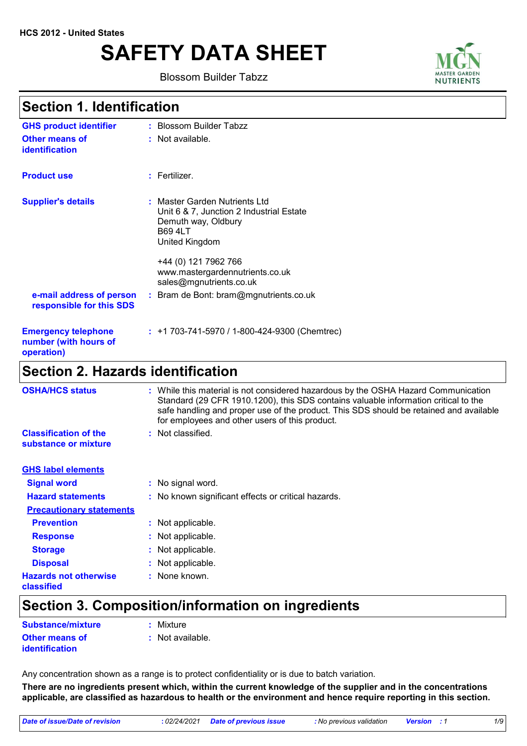# **SAFETY DATA SHEET**

Blossom Builder Tabzz



### **Section 1. Identification**

| <b>Section 2. Hazards identification</b>                          |                                                                                                     |
|-------------------------------------------------------------------|-----------------------------------------------------------------------------------------------------|
| <b>Emergency telephone</b><br>number (with hours of<br>operation) | $: +1703-741-5970/1-800-424-9300$ (Chemtrec)                                                        |
| e-mail address of person<br>responsible for this SDS              | : Bram de Bont: bram@mgnutrients.co.uk                                                              |
|                                                                   | +44 (0) 121 7962 766<br>www.mastergardennutrients.co.uk<br>sales@mgnutrients.co.uk                  |
|                                                                   | Unit 6 & 7, Junction 2 Industrial Estate<br>Demuth way, Oldbury<br><b>B69 4LT</b><br>United Kingdom |
| <b>Supplier's details</b>                                         | : Master Garden Nutrients Ltd                                                                       |
| <b>Product use</b>                                                | $:$ Fertilizer.                                                                                     |
| Other means of<br><b>identification</b>                           | : Not available.                                                                                    |
| <b>GHS product identifier</b>                                     | : Blossom Builder Tabzz                                                                             |

| <b>OSHA/HCS status</b>                               | : While this material is not considered hazardous by the OSHA Hazard Communication<br>Standard (29 CFR 1910.1200), this SDS contains valuable information critical to the<br>safe handling and proper use of the product. This SDS should be retained and available<br>for employees and other users of this product. |
|------------------------------------------------------|-----------------------------------------------------------------------------------------------------------------------------------------------------------------------------------------------------------------------------------------------------------------------------------------------------------------------|
| <b>Classification of the</b><br>substance or mixture | : Not classified.                                                                                                                                                                                                                                                                                                     |
| <b>GHS label elements</b>                            |                                                                                                                                                                                                                                                                                                                       |
| <b>Signal word</b>                                   | : No signal word.                                                                                                                                                                                                                                                                                                     |
| <b>Hazard statements</b>                             | : No known significant effects or critical hazards.                                                                                                                                                                                                                                                                   |
| <b>Precautionary statements</b>                      |                                                                                                                                                                                                                                                                                                                       |
| <b>Prevention</b>                                    | : Not applicable.                                                                                                                                                                                                                                                                                                     |
| <b>Response</b>                                      | : Not applicable.                                                                                                                                                                                                                                                                                                     |
| <b>Storage</b>                                       | : Not applicable.                                                                                                                                                                                                                                                                                                     |
| <b>Disposal</b>                                      | : Not applicable.                                                                                                                                                                                                                                                                                                     |
| <b>Hazards not otherwise</b><br>classified           | : None known.                                                                                                                                                                                                                                                                                                         |

# **Section 3. Composition/information on ingredients**

| Substance/mixture                              | : Mixture        |
|------------------------------------------------|------------------|
| <b>Other means of</b><br><b>identification</b> | : Not available. |

Any concentration shown as a range is to protect confidentiality or is due to batch variation.

**There are no ingredients present which, within the current knowledge of the supplier and in the concentrations applicable, are classified as hazardous to health or the environment and hence require reporting in this section.**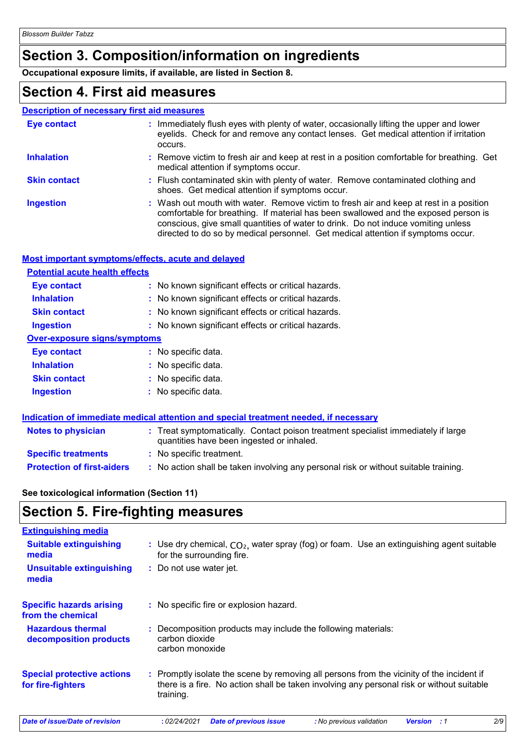# **Section 3. Composition/information on ingredients**

**Occupational exposure limits, if available, are listed in Section 8.**

## **Section 4. First aid measures**

#### **Description of necessary first aid measures**

| Eye contact         | : Immediately flush eyes with plenty of water, occasionally lifting the upper and lower<br>eyelids. Check for and remove any contact lenses. Get medical attention if irritation<br>occurs.                                                                                                                                                            |
|---------------------|--------------------------------------------------------------------------------------------------------------------------------------------------------------------------------------------------------------------------------------------------------------------------------------------------------------------------------------------------------|
| <b>Inhalation</b>   | : Remove victim to fresh air and keep at rest in a position comfortable for breathing. Get<br>medical attention if symptoms occur.                                                                                                                                                                                                                     |
| <b>Skin contact</b> | : Flush contaminated skin with plenty of water. Remove contaminated clothing and<br>shoes. Get medical attention if symptoms occur.                                                                                                                                                                                                                    |
| <b>Ingestion</b>    | : Wash out mouth with water. Remove victim to fresh air and keep at rest in a position<br>comfortable for breathing. If material has been swallowed and the exposed person is<br>conscious, give small quantities of water to drink. Do not induce vomiting unless<br>directed to do so by medical personnel. Get medical attention if symptoms occur. |

#### **Most important symptoms/effects, acute and delayed**

| <b>Potential acute health effects</b> |                                                     |
|---------------------------------------|-----------------------------------------------------|
| Eye contact                           | : No known significant effects or critical hazards. |
| <b>Inhalation</b>                     | : No known significant effects or critical hazards. |
| <b>Skin contact</b>                   | : No known significant effects or critical hazards. |
| <b>Ingestion</b>                      | : No known significant effects or critical hazards. |
| <b>Over-exposure signs/symptoms</b>   |                                                     |
| Eye contact                           | : No specific data.                                 |
| <b>Inhalation</b>                     | : No specific data.                                 |
| <b>Skin contact</b>                   | : No specific data.                                 |
| <b>Ingestion</b>                      | : No specific data.                                 |
|                                       |                                                     |

|                                   | Indication of immediate medical attention and special treatment needed, if necessary                                           |  |
|-----------------------------------|--------------------------------------------------------------------------------------------------------------------------------|--|
| <b>Notes to physician</b>         | : Treat symptomatically. Contact poison treatment specialist immediately if large<br>quantities have been ingested or inhaled. |  |
| <b>Specific treatments</b>        | : No specific treatment.                                                                                                       |  |
| <b>Protection of first-aiders</b> | : No action shall be taken involving any personal risk or without suitable training.                                           |  |

#### **See toxicological information (Section 11)**

### **Section 5. Fire-fighting measures**

| <b>Extinguishing media</b>                             |                                                                                                                                                                                                     |
|--------------------------------------------------------|-----------------------------------------------------------------------------------------------------------------------------------------------------------------------------------------------------|
| <b>Suitable extinguishing</b><br>media                 | : Use dry chemical, $CO2$ , water spray (fog) or foam. Use an extinguishing agent suitable<br>for the surrounding fire.                                                                             |
| <b>Unsuitable extinguishing</b><br>media               | : Do not use water jet.                                                                                                                                                                             |
| <b>Specific hazards arising</b><br>from the chemical   | : No specific fire or explosion hazard.                                                                                                                                                             |
| <b>Hazardous thermal</b><br>decomposition products     | : Decomposition products may include the following materials:<br>carbon dioxide<br>carbon monoxide                                                                                                  |
| <b>Special protective actions</b><br>for fire-fighters | : Promptly isolate the scene by removing all persons from the vicinity of the incident if<br>there is a fire. No action shall be taken involving any personal risk or without suitable<br>training. |

*Date of issue/Date of revision* **:** *02/24/2021 Date of previous issue : No previous validation Version : 1 2/9*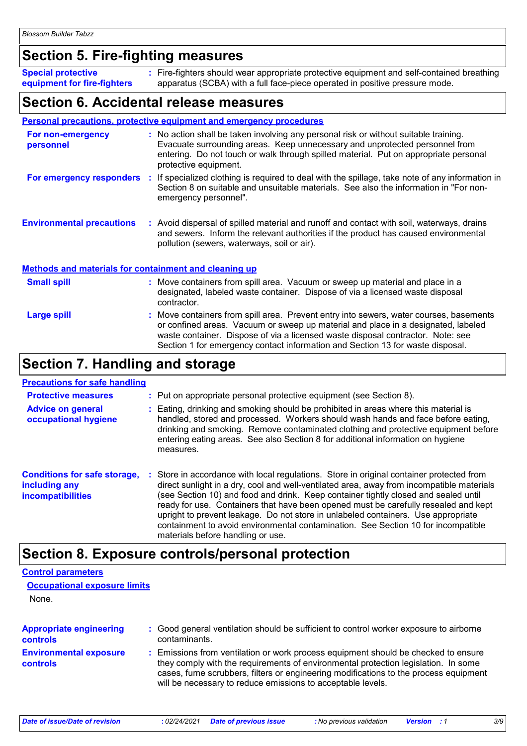### **Section 5. Fire-fighting measures**

| <b>Special protective</b>   | : Fire-fighters should wear appropriate protective equipment and self-contained breathing |
|-----------------------------|-------------------------------------------------------------------------------------------|
| equipment for fire-fighters | apparatus (SCBA) with a full face-piece operated in positive pressure mode.               |

### **Section 6. Accidental release measures**

#### **Personal precautions, protective equipment and emergency procedures**

| For non-emergency<br>personnel   | : No action shall be taken involving any personal risk or without suitable training.<br>Evacuate surrounding areas. Keep unnecessary and unprotected personnel from<br>entering. Do not touch or walk through spilled material. Put on appropriate personal<br>protective equipment. |
|----------------------------------|--------------------------------------------------------------------------------------------------------------------------------------------------------------------------------------------------------------------------------------------------------------------------------------|
| For emergency responders         | : If specialized clothing is required to deal with the spillage, take note of any information in<br>Section 8 on suitable and unsuitable materials. See also the information in "For non-<br>emergency personnel".                                                                   |
| <b>Environmental precautions</b> | : Avoid dispersal of spilled material and runoff and contact with soil, waterways, drains<br>and sewers. Inform the relevant authorities if the product has caused environmental<br>pollution (sewers, waterways, soil or air).                                                      |

#### **Methods and materials for containment and cleaning up**

| <b>Small spill</b> | : Move containers from spill area. Vacuum or sweep up material and place in a<br>designated, labeled waste container. Dispose of via a licensed waste disposal<br>contractor.                                                                                                                                                                    |
|--------------------|--------------------------------------------------------------------------------------------------------------------------------------------------------------------------------------------------------------------------------------------------------------------------------------------------------------------------------------------------|
| Large spill        | : Move containers from spill area. Prevent entry into sewers, water courses, basements<br>or confined areas. Vacuum or sweep up material and place in a designated, labeled<br>waste container. Dispose of via a licensed waste disposal contractor. Note: see<br>Section 1 for emergency contact information and Section 13 for waste disposal. |

### **Section 7. Handling and storage**

#### **Precautions for safe handling**

| <b>Protective measures</b><br><b>Advice on general</b><br>occupational hygiene   | : Put on appropriate personal protective equipment (see Section 8).<br>: Eating, drinking and smoking should be prohibited in areas where this material is<br>handled, stored and processed. Workers should wash hands and face before eating,<br>drinking and smoking. Remove contaminated clothing and protective equipment before<br>entering eating areas. See also Section 8 for additional information on hygiene<br>measures.                                                                                                                                                   |
|----------------------------------------------------------------------------------|----------------------------------------------------------------------------------------------------------------------------------------------------------------------------------------------------------------------------------------------------------------------------------------------------------------------------------------------------------------------------------------------------------------------------------------------------------------------------------------------------------------------------------------------------------------------------------------|
| <b>Conditions for safe storage,</b><br>including any<br><b>incompatibilities</b> | Store in accordance with local regulations. Store in original container protected from<br>÷.<br>direct sunlight in a dry, cool and well-ventilated area, away from incompatible materials<br>(see Section 10) and food and drink. Keep container tightly closed and sealed until<br>ready for use. Containers that have been opened must be carefully resealed and kept<br>upright to prevent leakage. Do not store in unlabeled containers. Use appropriate<br>containment to avoid environmental contamination. See Section 10 for incompatible<br>materials before handling or use. |

### **Section 8. Exposure controls/personal protection**

#### **Environmental exposure controls :** Emissions from ventilation or work process equipment should be checked to ensure they comply with the requirements of environmental protection legislation. In some cases, fume scrubbers, filters or engineering modifications to the process equipment will be necessary to reduce emissions to acceptable levels. **Appropriate engineering controls :** Good general ventilation should be sufficient to control worker exposure to airborne contaminants. **Control parameters Occupational exposure limits** None.

*Date of issue/Date of revision* **:** *02/24/2021 Date of previous issue : No previous validation Version : 1 3/9*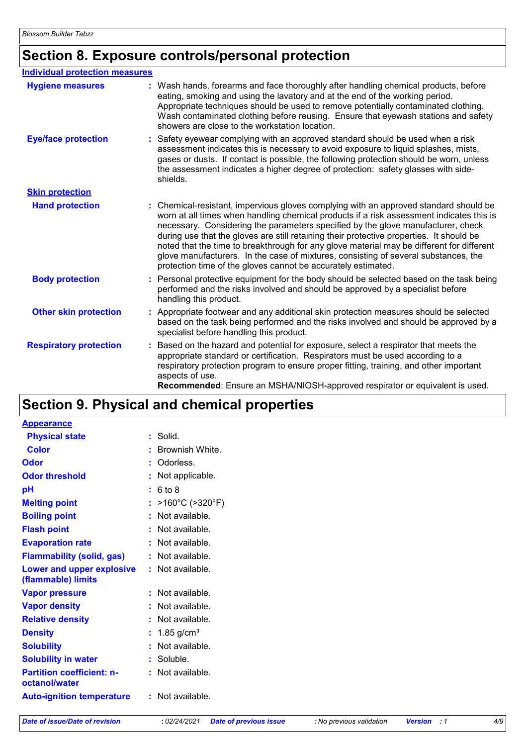# **Section 8. Exposure controls/personal protection**

| <b>Individual protection measures</b> |                                                                                                                                                                                                                                                                                                                                                                                                                                                                                                                                                                                                                        |
|---------------------------------------|------------------------------------------------------------------------------------------------------------------------------------------------------------------------------------------------------------------------------------------------------------------------------------------------------------------------------------------------------------------------------------------------------------------------------------------------------------------------------------------------------------------------------------------------------------------------------------------------------------------------|
| <b>Hygiene measures</b>               | : Wash hands, forearms and face thoroughly after handling chemical products, before<br>eating, smoking and using the lavatory and at the end of the working period.<br>Appropriate techniques should be used to remove potentially contaminated clothing.<br>Wash contaminated clothing before reusing. Ensure that eyewash stations and safety<br>showers are close to the workstation location.                                                                                                                                                                                                                      |
| <b>Eye/face protection</b>            | Safety eyewear complying with an approved standard should be used when a risk<br>assessment indicates this is necessary to avoid exposure to liquid splashes, mists,<br>gases or dusts. If contact is possible, the following protection should be worn, unless<br>the assessment indicates a higher degree of protection: safety glasses with side-<br>shields.                                                                                                                                                                                                                                                       |
| <b>Skin protection</b>                |                                                                                                                                                                                                                                                                                                                                                                                                                                                                                                                                                                                                                        |
| <b>Hand protection</b>                | : Chemical-resistant, impervious gloves complying with an approved standard should be<br>worn at all times when handling chemical products if a risk assessment indicates this is<br>necessary. Considering the parameters specified by the glove manufacturer, check<br>during use that the gloves are still retaining their protective properties. It should be<br>noted that the time to breakthrough for any glove material may be different for different<br>glove manufacturers. In the case of mixtures, consisting of several substances, the<br>protection time of the gloves cannot be accurately estimated. |
| <b>Body protection</b>                | : Personal protective equipment for the body should be selected based on the task being<br>performed and the risks involved and should be approved by a specialist before<br>handling this product.                                                                                                                                                                                                                                                                                                                                                                                                                    |
| <b>Other skin protection</b>          | : Appropriate footwear and any additional skin protection measures should be selected<br>based on the task being performed and the risks involved and should be approved by a<br>specialist before handling this product.                                                                                                                                                                                                                                                                                                                                                                                              |
| <b>Respiratory protection</b>         | : Based on the hazard and potential for exposure, select a respirator that meets the<br>appropriate standard or certification. Respirators must be used according to a<br>respiratory protection program to ensure proper fitting, training, and other important<br>aspects of use.<br>Recommended: Ensure an MSHA/NIOSH-approved respirator or equivalent is used.                                                                                                                                                                                                                                                    |

# **Section 9. Physical and chemical properties**

| <b>Appearance</b>                                 |                                        |
|---------------------------------------------------|----------------------------------------|
| <b>Physical state</b>                             | : Solid.                               |
| <b>Color</b>                                      | : Brownish White.                      |
| <b>Odor</b>                                       | : Odorless.                            |
| <b>Odor threshold</b>                             | : Not applicable.                      |
| pH                                                | : 6 to 8                               |
| <b>Melting point</b>                              | : $>160^{\circ}$ C ( $>320^{\circ}$ F) |
| <b>Boiling point</b>                              | : Not available.                       |
| <b>Flash point</b>                                | : Not available.                       |
| <b>Evaporation rate</b>                           | : Not available.                       |
| <b>Flammability (solid, gas)</b>                  | : Not available.                       |
| Lower and upper explosive<br>(flammable) limits   | : Not available.                       |
| <b>Vapor pressure</b>                             | : Not available.                       |
| <b>Vapor density</b>                              | : Not available.                       |
| <b>Relative density</b>                           | : Not available.                       |
| <b>Density</b>                                    | : $1.85$ g/cm <sup>3</sup>             |
| <b>Solubility</b>                                 | : Not available.                       |
| <b>Solubility in water</b>                        | $:$ Soluble.                           |
| <b>Partition coefficient: n-</b><br>octanol/water | : Not available.                       |
| <b>Auto-ignition temperature</b>                  | : Not available.                       |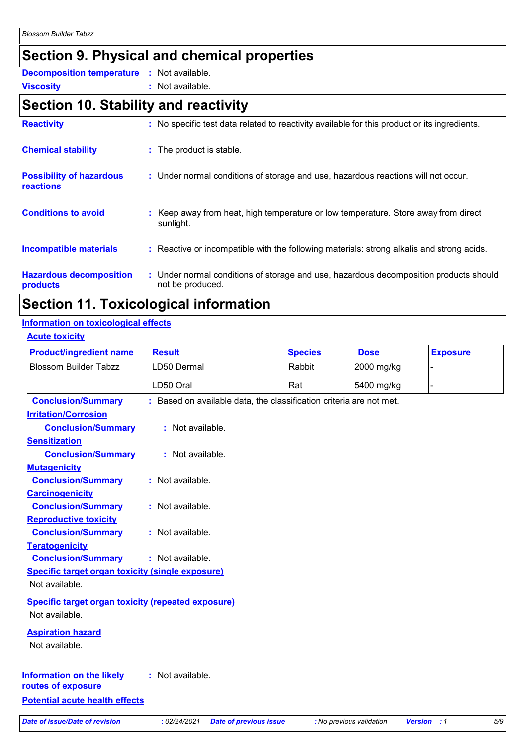# **Section 9. Physical and chemical properties**

**Viscosity :** Not available. **Decomposition temperature :** Not available.

# **Section 10. Stability and reactivity**

| <b>Reactivity</b>                                   | : No specific test data related to reactivity available for this product or its ingredients.              |
|-----------------------------------------------------|-----------------------------------------------------------------------------------------------------------|
| <b>Chemical stability</b>                           | : The product is stable.                                                                                  |
| <b>Possibility of hazardous</b><br><b>reactions</b> | : Under normal conditions of storage and use, hazardous reactions will not occur.                         |
| <b>Conditions to avoid</b>                          | : Keep away from heat, high temperature or low temperature. Store away from direct<br>sunlight.           |
| <b>Incompatible materials</b>                       | : Reactive or incompatible with the following materials: strong alkalis and strong acids.                 |
| <b>Hazardous decomposition</b><br>products          | : Under normal conditions of storage and use, hazardous decomposition products should<br>not be produced. |

# **Section 11. Toxicological information**

#### **Information on toxicological effects**

| <b>Product/ingredient name</b>                            | <b>Result</b>                                                       | <b>Species</b> | <b>Dose</b>              | <b>Exposure</b>             |
|-----------------------------------------------------------|---------------------------------------------------------------------|----------------|--------------------------|-----------------------------|
| <b>Blossom Builder Tabzz</b>                              | LD50 Dermal                                                         | Rabbit         | 2000 mg/kg               |                             |
|                                                           | LD50 Oral                                                           | Rat            | 5400 mg/kg               |                             |
| <b>Conclusion/Summary</b>                                 | : Based on available data, the classification criteria are not met. |                |                          |                             |
| <b>Irritation/Corrosion</b>                               |                                                                     |                |                          |                             |
| <b>Conclusion/Summary</b>                                 | : Not available.                                                    |                |                          |                             |
| <b>Sensitization</b>                                      |                                                                     |                |                          |                             |
| <b>Conclusion/Summary</b>                                 | : Not available.                                                    |                |                          |                             |
| <b>Mutagenicity</b>                                       |                                                                     |                |                          |                             |
| <b>Conclusion/Summary</b>                                 | : Not available.                                                    |                |                          |                             |
| <b>Carcinogenicity</b>                                    |                                                                     |                |                          |                             |
| <b>Conclusion/Summary</b>                                 | : Not available.                                                    |                |                          |                             |
| <b>Reproductive toxicity</b>                              |                                                                     |                |                          |                             |
| <b>Conclusion/Summary</b>                                 | : Not available.                                                    |                |                          |                             |
| <b>Teratogenicity</b>                                     |                                                                     |                |                          |                             |
| <b>Conclusion/Summary</b>                                 | : Not available.                                                    |                |                          |                             |
| <b>Specific target organ toxicity (single exposure)</b>   |                                                                     |                |                          |                             |
| Not available.                                            |                                                                     |                |                          |                             |
| <b>Specific target organ toxicity (repeated exposure)</b> |                                                                     |                |                          |                             |
| Not available.                                            |                                                                     |                |                          |                             |
| <b>Aspiration hazard</b>                                  |                                                                     |                |                          |                             |
| Not available.                                            |                                                                     |                |                          |                             |
|                                                           |                                                                     |                |                          |                             |
| <b>Information on the likely</b><br>routes of exposure    | : Not available.                                                    |                |                          |                             |
| <b>Potential acute health effects</b>                     |                                                                     |                |                          |                             |
| <b>Date of issue/Date of revision</b>                     |                                                                     |                |                          |                             |
|                                                           | : 02/24/2021<br><b>Date of previous issue</b>                       |                | : No previous validation | $5/9$<br><b>Version</b> : 1 |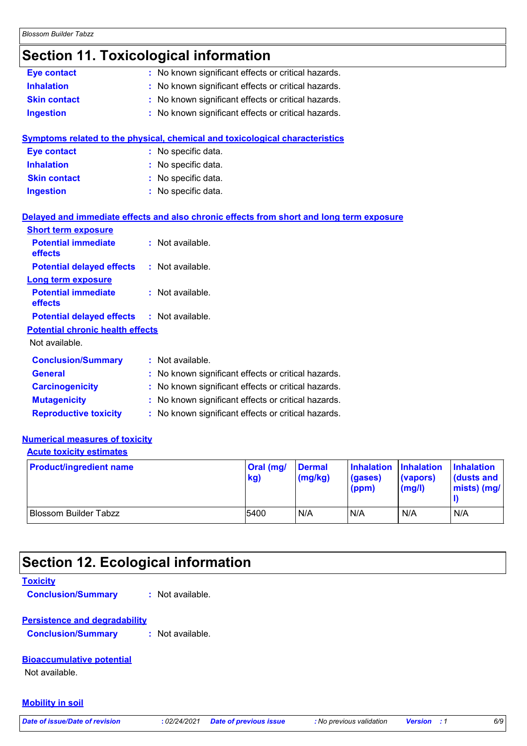### **Section 11. Toxicological information**

| Eye contact                             | : No known significant effects or critical hazards.                                      |
|-----------------------------------------|------------------------------------------------------------------------------------------|
| <b>Inhalation</b>                       | : No known significant effects or critical hazards.                                      |
| <b>Skin contact</b>                     | No known significant effects or critical hazards.                                        |
| <b>Ingestion</b>                        | : No known significant effects or critical hazards.                                      |
|                                         | <b>Symptoms related to the physical, chemical and toxicological characteristics</b>      |
| <b>Eye contact</b>                      | : No specific data.                                                                      |
| <b>Inhalation</b>                       | : No specific data.                                                                      |
| <b>Skin contact</b>                     | : No specific data.                                                                      |
| <b>Ingestion</b>                        | : No specific data.                                                                      |
|                                         | Delayed and immediate effects and also chronic effects from short and long term exposure |
| <b>Short term exposure</b>              |                                                                                          |
| <b>Potential immediate</b><br>effects   | : Not available.                                                                         |
| <b>Potential delayed effects</b>        | : Not available.                                                                         |
| <b>Long term exposure</b>               |                                                                                          |
| <b>Potential immediate</b><br>effects   | : Not available.                                                                         |
| <b>Potential delayed effects</b>        | : Not available.                                                                         |
| <b>Potential chronic health effects</b> |                                                                                          |
| Not available.                          |                                                                                          |
| <b>Conclusion/Summary</b>               | : Not available.                                                                         |
| <b>General</b>                          | : No known significant effects or critical hazards.                                      |
| <b>Carcinogenicity</b>                  | : No known significant effects or critical hazards.                                      |
| <b>Mutagenicity</b>                     | : No known significant effects or critical hazards.                                      |
| <b>Reproductive toxicity</b>            | : No known significant effects or critical hazards.                                      |

#### **Numerical measures of toxicity**

#### **Acute toxicity estimates**

| <b>Product/ingredient name</b> | Oral (mg/<br>kg) | <b>Dermal</b><br>(mg/kg) | Inhalation Inhalation<br>(gases)<br>(ppm) | (vapors)<br>(mg/l) | <b>Inhalation</b><br>dusts and<br>$\mid$ mists) (mg/ $\mid$ |
|--------------------------------|------------------|--------------------------|-------------------------------------------|--------------------|-------------------------------------------------------------|
| Blossom Builder Tabzz          | 5400             | N/A                      | N/A                                       | N/A                | N/A                                                         |

# **Section 12. Ecological information**

#### **Toxicity**

**Conclusion/Summary :** Not available.

#### **Persistence and degradability**

**Conclusion/Summary :** Not available.

#### **Bioaccumulative potential**

Not available.

#### **Mobility in soil**

*Date of issue/Date of revision* **:** *02/24/2021 Date of previous issue : No previous validation Version : 1 6/9*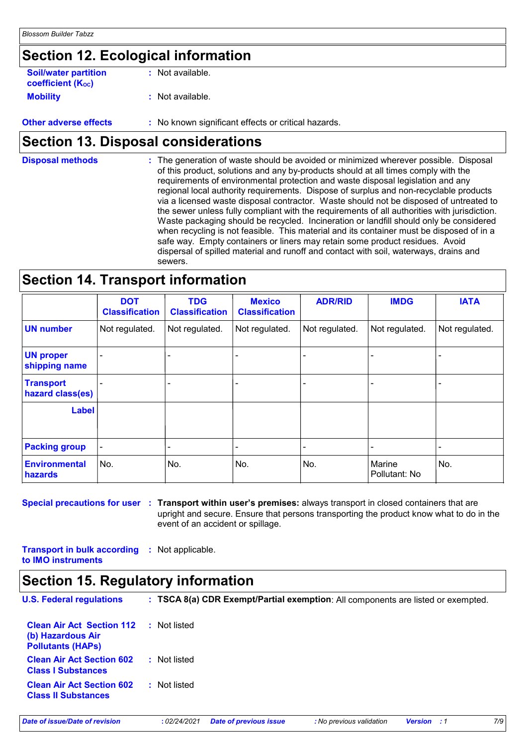# **Section 12. Ecological information**

| <b>Soil/water partition</b><br><b>coefficient (Koc)</b> | : Not available.                                    |
|---------------------------------------------------------|-----------------------------------------------------|
| <b>Mobility</b>                                         | : Not available.                                    |
| <b>Other adverse effects</b>                            | : No known significant effects or critical hazards. |

# **Section 13. Disposal considerations**

The generation of waste should be avoided or minimized wherever possible. Disposal of this product, solutions and any by-products should at all times comply with the requirements of environmental protection and waste disposal legislation and any regional local authority requirements. Dispose of surplus and non-recyclable products via a licensed waste disposal contractor. Waste should not be disposed of untreated to the sewer unless fully compliant with the requirements of all authorities with jurisdiction. Waste packaging should be recycled. Incineration or landfill should only be considered when recycling is not feasible. This material and its container must be disposed of in a safe way. Empty containers or liners may retain some product residues. Avoid dispersal of spilled material and runoff and contact with soil, waterways, drains and sewers. **Disposal methods :**

### **Section 14. Transport information**

|                                      | <b>DOT</b><br><b>Classification</b> | <b>TDG</b><br><b>Classification</b> | <b>Mexico</b><br><b>Classification</b> | <b>ADR/RID</b> | <b>IMDG</b>             | <b>IATA</b>    |
|--------------------------------------|-------------------------------------|-------------------------------------|----------------------------------------|----------------|-------------------------|----------------|
| <b>UN number</b>                     | Not regulated.                      | Not regulated.                      | Not regulated.                         | Not regulated. | Not regulated.          | Not regulated. |
| <b>UN proper</b><br>shipping name    |                                     |                                     |                                        |                |                         |                |
| <b>Transport</b><br>hazard class(es) |                                     |                                     |                                        |                |                         |                |
| <b>Label</b>                         |                                     |                                     |                                        |                |                         |                |
| <b>Packing group</b>                 |                                     |                                     |                                        |                |                         |                |
| <b>Environmental</b><br>hazards      | No.                                 | No.                                 | No.                                    | No.            | Marine<br>Pollutant: No | No.            |

**Special precautions for user Transport within user's premises:** always transport in closed containers that are **:** upright and secure. Ensure that persons transporting the product know what to do in the event of an accident or spillage.

**Transport in bulk according :** Not applicable. **to IMO instruments**

### **Section 15. Regulatory information**

| <b>U.S. Federal regulations</b>                                                   | : TSCA 8(a) CDR Exempt/Partial exemption: All components are listed or exempted. |
|-----------------------------------------------------------------------------------|----------------------------------------------------------------------------------|
| <b>Clean Air Act Section 112</b><br>(b) Hazardous Air<br><b>Pollutants (HAPS)</b> | : Not listed                                                                     |
| <b>Clean Air Act Section 602</b><br><b>Class I Substances</b>                     | : Not listed                                                                     |
| <b>Clean Air Act Section 602</b><br><b>Class II Substances</b>                    | : Not listed                                                                     |

*Date of issue/Date of revision* **:** *02/24/2021 Date of previous issue : No previous validation Version : 1 7/9*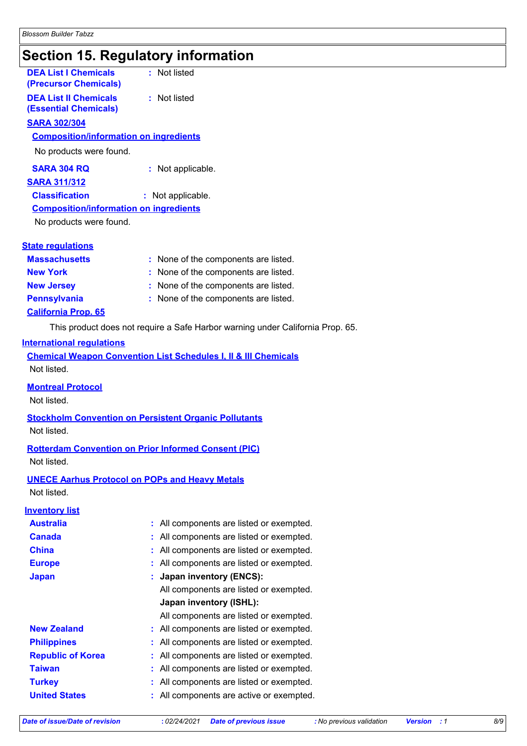# **Section 15. Regulatory information**

| <b>DEA List I Chemicals</b><br>(Precursor Chemicals)         | : Not listed                                                                   |
|--------------------------------------------------------------|--------------------------------------------------------------------------------|
| <b>DEA List II Chemicals</b><br><b>(Essential Chemicals)</b> | : Not listed                                                                   |
| <b>SARA 302/304</b>                                          |                                                                                |
| <b>Composition/information on ingredients</b>                |                                                                                |
| No products were found.                                      |                                                                                |
| <b>SARA 304 RQ</b>                                           | : Not applicable.                                                              |
| <b>SARA 311/312</b>                                          |                                                                                |
| <b>Classification</b>                                        | : Not applicable.                                                              |
| <b>Composition/information on ingredients</b>                |                                                                                |
| No products were found.                                      |                                                                                |
| <b>State regulations</b>                                     |                                                                                |
| <b>Massachusetts</b>                                         | : None of the components are listed.                                           |
| <b>New York</b>                                              | None of the components are listed.                                             |
| <b>New Jersey</b>                                            | None of the components are listed.                                             |
| <b>Pennsylvania</b>                                          | : None of the components are listed.                                           |
| <b>California Prop. 65</b>                                   |                                                                                |
|                                                              | This product does not require a Safe Harbor warning under California Prop. 65. |
| <b>International regulations</b>                             |                                                                                |
|                                                              | <b>Chemical Weapon Convention List Schedules I. II &amp; III Chemicals</b>     |

**hemicals** Not listed.

**Montreal Protocol**

Not listed.

**Stockholm Convention on Persistent Organic Pollutants** Not listed.

#### **Rotterdam Convention on Prior Informed Consent (PIC)**

Not listed.

#### **UNECE Aarhus Protocol on POPs and Heavy Metals**

Not listed.

#### **Inventory list**

| : All components are listed or exempted.     |
|----------------------------------------------|
| All components are listed or exempted.<br>÷. |
| All components are listed or exempted.       |
| All components are listed or exempted.       |
| <b>Japan inventory (ENCS):</b>               |
| All components are listed or exempted.       |
| Japan inventory (ISHL):                      |
| All components are listed or exempted.       |
| : All components are listed or exempted.     |
| All components are listed or exempted.       |
| All components are listed or exempted.       |
| All components are listed or exempted.<br>÷  |
| All components are listed or exempted.       |
| All components are active or exempted.       |
|                                              |